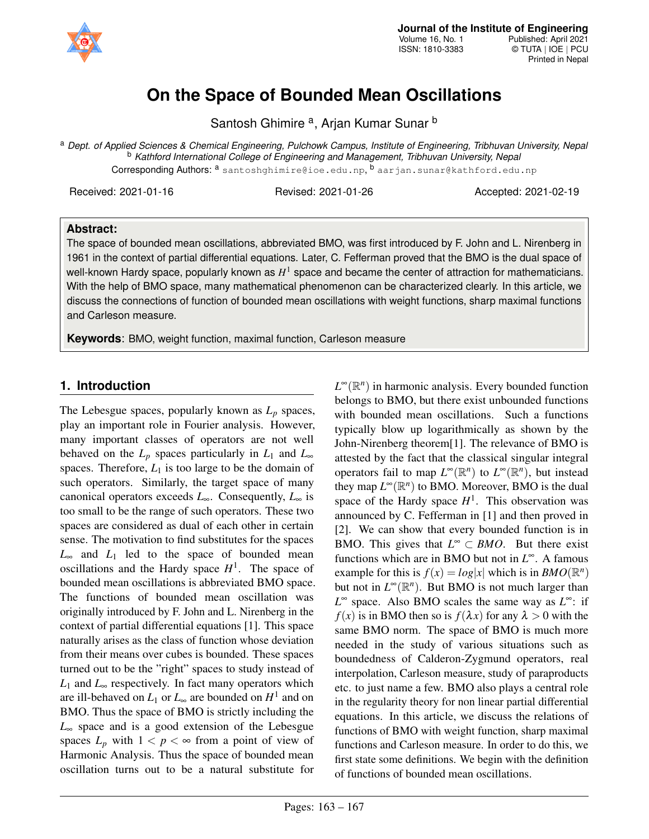

# **On the Space of Bounded Mean Oscillations**

Santosh Ghimire <sup>a</sup>, Arjan Kumar Sunar <sup>b</sup>

<sup>a</sup> *Dept. of Applied Sciences & Chemical Engineering, Pulchowk Campus, Institute of Engineering, Tribhuvan University, Nepal* <sup>b</sup> *Kathford International College of Engineering and Management, Tribhuvan University, Nepal* Corresponding Authors: <sup>a</sup> santoshghimire@ioe.edu.np, <sup>b</sup> aarjan.sunar@kathford.edu.np

Received: 2021-01-16 Revised: 2021-01-26 Accepted: 2021-02-19

#### **Abstract:**

The space of bounded mean oscillations, abbreviated BMO, was first introduced by F. John and L. Nirenberg in 1961 in the context of partial differential equations. Later, C. Fefferman proved that the BMO is the dual space of well-known Hardy space, popularly known as  $H^1$  space and became the center of attraction for mathematicians. With the help of BMO space, many mathematical phenomenon can be characterized clearly. In this article, we discuss the connections of function of bounded mean oscillations with weight functions, sharp maximal functions and Carleson measure.

**Keywords**: BMO, weight function, maximal function, Carleson measure

## **1. Introduction**

The Lebesgue spaces, popularly known as  $L_p$  spaces, play an important role in Fourier analysis. However, many important classes of operators are not well behaved on the  $L_p$  spaces particularly in  $L_1$  and  $L_\infty$ spaces. Therefore,  $L_1$  is too large to be the domain of such operators. Similarly, the target space of many canonical operators exceeds *L*∞. Consequently, *L*<sup>∞</sup> is too small to be the range of such operators. These two spaces are considered as dual of each other in certain sense. The motivation to find substitutes for the spaces  $L_{\infty}$  and  $L_1$  led to the space of bounded mean oscillations and the Hardy space  $H^1$ . The space of bounded mean oscillations is abbreviated BMO space. The functions of bounded mean oscillation was originally introduced by F. John and L. Nirenberg in the context of partial differential equations [1]. This space naturally arises as the class of function whose deviation from their means over cubes is bounded. These spaces turned out to be the "right" spaces to study instead of  $L_1$  and  $L_\infty$  respectively. In fact many operators which are ill-behaved on  $L_1$  or  $L_{\infty}$  are bounded on  $H^1$  and on BMO. Thus the space of BMO is strictly including the *L*<sup>∞</sup> space and is a good extension of the Lebesgue spaces  $L_p$  with  $1 < p < \infty$  from a point of view of Harmonic Analysis. Thus the space of bounded mean oscillation turns out to be a natural substitute for

 $L^{\infty}(\mathbb{R}^n)$  in harmonic analysis. Every bounded function belongs to BMO, but there exist unbounded functions with bounded mean oscillations. Such a functions typically blow up logarithmically as shown by the John-Nirenberg theorem[1]. The relevance of BMO is attested by the fact that the classical singular integral operators fail to map  $L^{\infty}(\mathbb{R}^n)$  to  $L^{\infty}(\mathbb{R}^n)$ , but instead they map  $L^{\infty}(\mathbb{R}^n)$  to BMO. Moreover, BMO is the dual space of the Hardy space  $H^1$ . This observation was announced by C. Fefferman in [1] and then proved in [2]. We can show that every bounded function is in BMO. This gives that  $L^{\infty} \subset BMO$ . But there exist functions which are in BMO but not in *L* <sup>∞</sup>. A famous example for this is  $f(x) = log|x|$  which is in *BMO*( $\mathbb{R}^n$ ) but not in  $L^{\infty}(\mathbb{R}^n)$ . But BMO is not much larger than *L* <sup>∞</sup> space. Also BMO scales the same way as *L* <sup>∞</sup>: if  $f(x)$  is in BMO then so is  $f(\lambda x)$  for any  $\lambda > 0$  with the same BMO norm. The space of BMO is much more needed in the study of various situations such as boundedness of Calderon-Zygmund operators, real interpolation, Carleson measure, study of paraproducts etc. to just name a few. BMO also plays a central role in the regularity theory for non linear partial differential equations. In this article, we discuss the relations of functions of BMO with weight function, sharp maximal functions and Carleson measure. In order to do this, we first state some definitions. We begin with the definition of functions of bounded mean oscillations.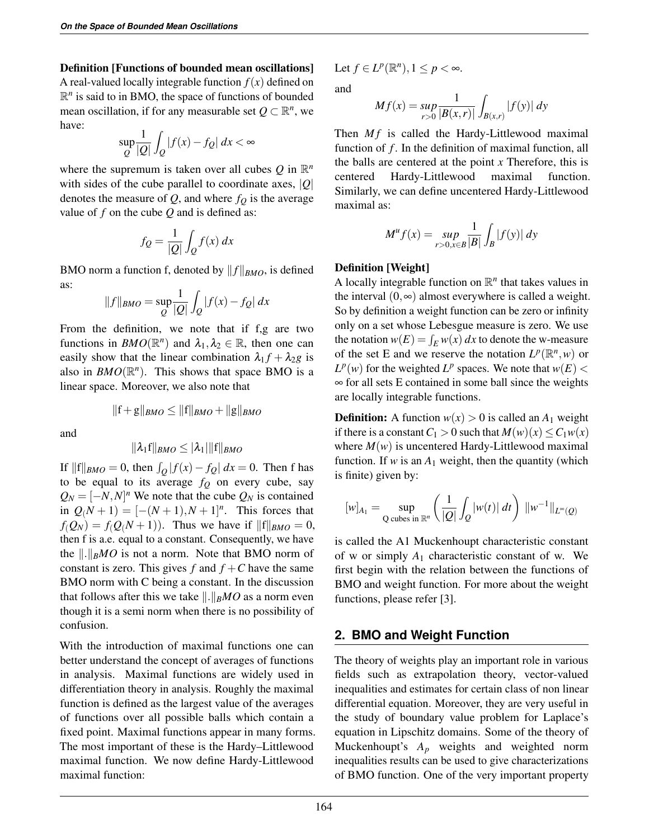#### Definition [Functions of bounded mean oscillations]

A real-valued locally integrable function  $f(x)$  defined on  $\mathbb{R}^n$  is said to in BMO, the space of functions of bounded mean oscillation, if for any measurable set  $Q \subset \mathbb{R}^n$ , we have:

$$
\sup_{Q} \frac{1}{|Q|} \int_{Q} |f(x) - f_{Q}| \, dx < \infty
$$

where the supremum is taken over all cubes  $Q$  in  $\mathbb{R}^n$ with sides of the cube parallel to coordinate axes, |*Q*| denotes the measure of  $Q$ , and where  $f_Q$  is the average value of *f* on the cube *Q* and is defined as:

$$
f_Q = \frac{1}{|Q|} \int_Q f(x) \, dx
$$

BMO norm a function f, denoted by  $||f||_{BMO}$ , is defined as:

$$
||f||_{BMO} = \sup_{Q} \frac{1}{|Q|} \int_{Q} |f(x) - f_{Q}| \, dx
$$

From the definition, we note that if f,g are two functions in  $BMO(\mathbb{R}^n)$  and  $\lambda_1, \lambda_2 \in \mathbb{R}$ , then one can easily show that the linear combination  $\lambda_1 f + \lambda_2 g$  is also in  $BMO(\mathbb{R}^n)$ . This shows that space BMO is a linear space. Moreover, we also note that

 $||f+g||_{BMO} \leq ||f||_{BMO} + ||g||_{BMO}$ 

and

$$
\|\lambda_1f\|_{BMO}\leq |\lambda_1|\|f\|_{BMO}
$$

If  $||f||_{BMO} = 0$ , then  $\int_Q |f(x) - f_Q| dx = 0$ . Then f has to be equal to its average  $f<sub>O</sub>$  on every cube, say  $Q_N = [-N, N]^n$  We note that the cube  $Q_N$  is contained in  $Q(N + 1) = [-(N + 1), N + 1]^n$ . This forces that  $f(Q_N) = f(Q(N+1))$ . Thus we have if  $||f||_{BMO} = 0$ , then f is a.e. equal to a constant. Consequently, we have the  $\Vert . \Vert_B MO$  is not a norm. Note that BMO norm of constant is zero. This gives  $f$  and  $f + C$  have the same BMO norm with C being a constant. In the discussion that follows after this we take  $\Vert . \Vert_B MO$  as a norm even though it is a semi norm when there is no possibility of confusion.

With the introduction of maximal functions one can better understand the concept of averages of functions in analysis. Maximal functions are widely used in differentiation theory in analysis. Roughly the maximal function is defined as the largest value of the averages of functions over all possible balls which contain a fixed point. Maximal functions appear in many forms. The most important of these is the Hardy–Littlewood maximal function. We now define Hardy-Littlewood maximal function:

Let 
$$
f \in L^p(\mathbb{R}^n), 1 \le p < \infty
$$
.

and

$$
Mf(x) = \sup_{r>0} \frac{1}{|B(x,r)|} \int_{B(x,r)} |f(y)| \, dy
$$

Then  $Mf$  is called the Hardy-Littlewood maximal function of *f* . In the definition of maximal function, all the balls are centered at the point *x* Therefore, this is centered Hardy-Littlewood maximal function. Similarly, we can define uncentered Hardy-Littlewood maximal as:

$$
M^{u} f(x) = \sup_{r>0, x \in B} \frac{1}{|B|} \int_{B} |f(y)| dy
$$

#### Definition [Weight]

A locally integrable function on  $\mathbb{R}^n$  that takes values in the interval  $(0, \infty)$  almost everywhere is called a weight. So by definition a weight function can be zero or infinity only on a set whose Lebesgue measure is zero. We use the notation  $w(E) = \int_E w(x) dx$  to denote the w-measure of the set E and we reserve the notation  $L^p(\mathbb{R}^n, w)$  or  $L^p(w)$  for the weighted  $L^p$  spaces. We note that  $w(E)$  < ∞ for all sets E contained in some ball since the weights are locally integrable functions.

**Definition:** A function  $w(x) > 0$  is called an  $A_1$  weight if there is a constant  $C_1 > 0$  such that  $M(w)(x) \le C_1 w(x)$ where  $M(w)$  is uncentered Hardy-Littlewood maximal function. If *w* is an  $A_1$  weight, then the quantity (which is finite) given by:

$$
[w]_{A_1} = \sup_{Q \text{ cubes in } \mathbb{R}^n} \left( \frac{1}{|Q|} \int_Q |w(t)| \, dt \right) \, ||w^{-1}||_{L^{\infty}(Q)}
$$

is called the A1 Muckenhoupt characteristic constant of w or simply  $A_1$  characteristic constant of w. We first begin with the relation between the functions of BMO and weight function. For more about the weight functions, please refer [3].

## **2. BMO and Weight Function**

The theory of weights play an important role in various fields such as extrapolation theory, vector-valued inequalities and estimates for certain class of non linear differential equation. Moreover, they are very useful in the study of boundary value problem for Laplace's equation in Lipschitz domains. Some of the theory of Muckenhoupt's *A<sup>p</sup>* weights and weighted norm inequalities results can be used to give characterizations of BMO function. One of the very important property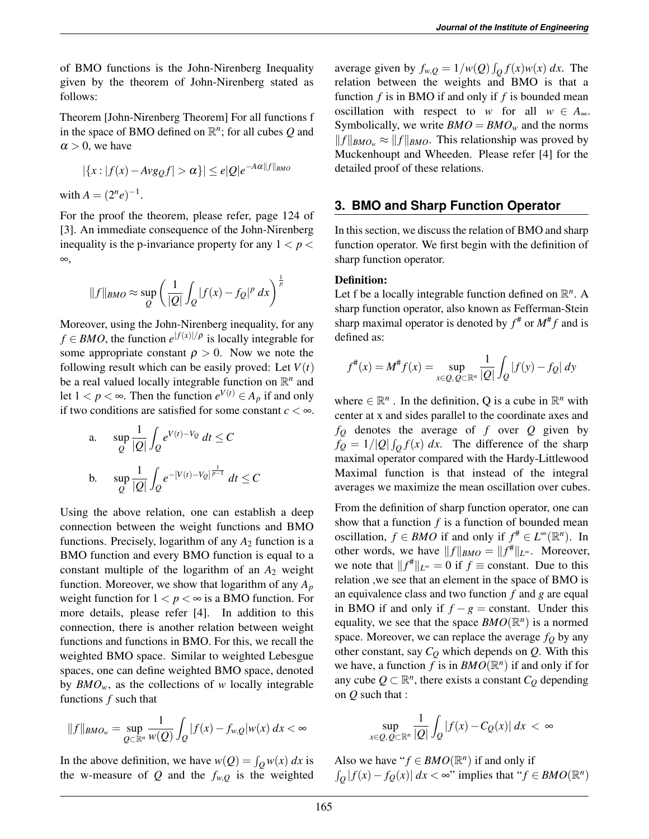of BMO functions is the John-Nirenberg Inequality given by the theorem of John-Nirenberg stated as follows:

Theorem [John-Nirenberg Theorem] For all functions f in the space of BMO defined on  $\mathbb{R}^n$ ; for all cubes  $Q$  and  $\alpha > 0$ , we have

$$
|\{x : |f(x) - Avg_Qf| > \alpha\}| \le e|Q|e^{-A\alpha||f||_{BMO}}
$$
  
with  $A = (2^n e)^{-1}$ .

For the proof the theorem, please refer, page 124 of [3]. An immediate consequence of the John-Nirenberg inequality is the p-invariance property for any  $1 < p <$ ∞,

$$
||f||_{BMO} \approx \sup_{Q} \left(\frac{1}{|Q|}\int_{Q} |f(x) - f_{Q}|^{p} dx\right)^{\frac{1}{p}}
$$

Moreover, using the John-Nirenberg inequality, for any  $f \in BMO$ , the function  $e^{|f(x)|/p}$  is locally integrable for some appropriate constant  $\rho > 0$ . Now we note the following result which can be easily proved: Let  $V(t)$ be a real valued locally integrable function on R *n* and let 1 < *p* < ∞. Then the function  $e^{V(t)} \in A_p$  if and only if two conditions are satisfied for some constant  $c < \infty$ .

a. 
$$
\sup_{Q} \frac{1}{|Q|} \int_{Q} e^{V(t)-V_Q} dt \leq C
$$
  
b.  $\sup_{Q} \frac{1}{|Q|} \int_{Q} e^{-[V(t)-V_Q]^{\frac{1}{p-1}}} dt \leq C$ 

Using the above relation, one can establish a deep connection between the weight functions and BMO functions. Precisely, logarithm of any  $A_2$  function is a BMO function and every BMO function is equal to a constant multiple of the logarithm of an *A*<sup>2</sup> weight function. Moreover, we show that logarithm of any *A<sup>p</sup>* weight function for  $1 < p < \infty$  is a BMO function. For more details, please refer [4]. In addition to this connection, there is another relation between weight functions and functions in BMO. For this, we recall the weighted BMO space. Similar to weighted Lebesgue spaces, one can define weighted BMO space, denoted by  $BMO_w$ , as the collections of *w* locally integrable functions *f* such that

$$
||f||_{BMO_w} = \sup_{Q \subset \mathbb{R}^n} \frac{1}{w(Q)} \int_Q |f(x) - f_{w,Q}| w(x) dx < \infty
$$

In the above definition, we have  $w(Q) = \int_Q w(x) dx$  is the w-measure of *Q* and the  $f_{w,Q}$  is the weighted

average given by  $f_{w,Q} = 1/w(Q) \int_Q f(x)w(x) dx$ . The relation between the weights and BMO is that a function *f* is in BMO if and only if *f* is bounded mean oscillation with respect to *w* for all  $w \in A_{\infty}$ . Symbolically, we write  $BMO = BMO_w$  and the norms  $||f||_{BMO_w} \approx ||f||_{BMO}$ . This relationship was proved by Muckenhoupt and Wheeden. Please refer [4] for the detailed proof of these relations.

## **3. BMO and Sharp Function Operator**

In this section, we discuss the relation of BMO and sharp function operator. We first begin with the definition of sharp function operator.

#### Definition:

Let f be a locally integrable function defined on  $\mathbb{R}^n$ . A sharp function operator, also known as Fefferman-Stein sharp maximal operator is denoted by  $f^*$  or  $M^*f$  and is defined as:

$$
f^{\#}(x) = M^{\#}f(x) = \sup_{x \in Q, Q \subset \mathbb{R}^n} \frac{1}{|Q|} \int_Q |f(y) - f_Q| \, dy
$$

where  $\in \mathbb{R}^n$ . In the definition, Q is a cube in  $\mathbb{R}^n$  with center at x and sides parallel to the coordinate axes and *f<sup>Q</sup>* denotes the average of *f* over *Q* given by  $f_Q = 1/|Q| \int_Q f(x) dx$ . The difference of the sharp maximal operator compared with the Hardy-Littlewood Maximal function is that instead of the integral averages we maximize the mean oscillation over cubes.

From the definition of sharp function operator, one can show that a function *f* is a function of bounded mean oscillation,  $f \in BMO$  if and only if  $f^* \in L^{\infty}(\mathbb{R}^n)$ . In other words, we have  $||f||_{BMO} = ||f^*||_{L^{\infty}}$ . Moreover, we note that  $||f^*||_{L^{\infty}} = 0$  if  $f \equiv$  constant. Due to this relation ,we see that an element in the space of BMO is an equivalence class and two function *f* and *g* are equal in BMO if and only if  $f - g = constant$ . Under this equality, we see that the space  $BMO(\mathbb{R}^n)$  is a normed space. Moreover, we can replace the average  $f<sub>O</sub>$  by any other constant, say  $C_Q$  which depends on  $Q$ . With this we have, a function  $\tilde{f}$  is in  $BMO(\mathbb{R}^n)$  if and only if for any cube  $Q \subset \mathbb{R}^n$ , there exists a constant  $C_Q$  depending on *Q* such that :

$$
\sup_{x \in Q, Q \subset \mathbb{R}^n} \frac{1}{|Q|} \int_Q |f(x) - C_Q(x)| dx < \infty
$$

Also we have " $f \in BMO(\mathbb{R}^n)$  if and only if  $\int_{Q} |f(x) - f_{Q}(x)| dx < \infty$ " implies that "*f* ∈ *BMO*( $\mathbb{R}^{n}$ )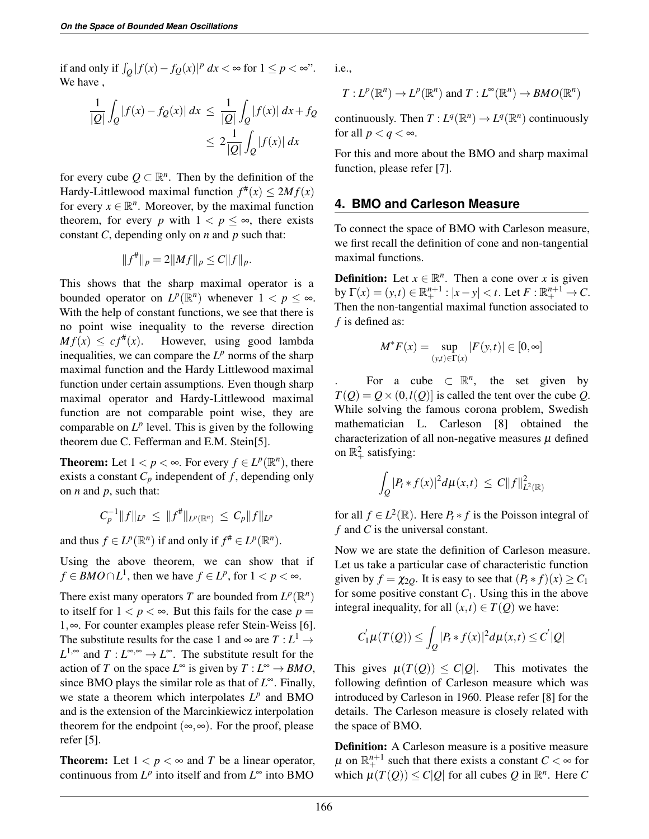if and only if  $\int_Q |f(x) - f_Q(x)|^p dx < \infty$  for  $1 \le p < \infty$ ". We have ,

$$
\frac{1}{|Q|} \int_{Q} |f(x) - f_Q(x)| dx \le \frac{1}{|Q|} \int_{Q} |f(x)| dx + f_Q
$$
  

$$
\le 2 \frac{1}{|Q|} \int_{Q} |f(x)| dx
$$

for every cube  $Q \subset \mathbb{R}^n$ . Then by the definition of the Hardy-Littlewood maximal function  $f^*(x) \le 2Mf(x)$ for every  $x \in \mathbb{R}^n$ . Moreover, by the maximal function theorem, for every *p* with  $1 < p \leq \infty$ , there exists constant *C*, depending only on *n* and *p* such that:

$$
||f^*||_p = 2||Mf||_p \le C||f||_p.
$$

This shows that the sharp maximal operator is a bounded operator on  $L^p(\mathbb{R}^n)$  whenever  $1 < p \leq \infty$ . With the help of constant functions, we see that there is no point wise inequality to the reverse direction  $M f(x) \leq c f^{*}(x)$ . (*x*). However, using good lambda inequalities, we can compare the  $L^p$  norms of the sharp maximal function and the Hardy Littlewood maximal function under certain assumptions. Even though sharp maximal operator and Hardy-Littlewood maximal function are not comparable point wise, they are comparable on  $L^p$  level. This is given by the following theorem due C. Fefferman and E.M. Stein[5].

**Theorem:** Let  $1 < p < \infty$ . For every  $f \in L^p(\mathbb{R}^n)$ , there exists a constant  $C_p$  independent of  $f$ , depending only on *n* and *p*, such that:

$$
C_p^{-1}||f||_{L^p} \leq ||f^*||_{L^p(\mathbb{R}^n)} \leq C_p||f||_{L^p}
$$

and thus  $f \in L^p(\mathbb{R}^n)$  if and only if  $f^* \in L^p(\mathbb{R}^n)$ .

Using the above theorem, we can show that if  $f \in BMO \cap L^1$ , then we have  $f \in L^p$ , for  $1 < p < \infty$ .

There exist many operators *T* are bounded from  $L^p(\mathbb{R}^n)$ to itself for  $1 < p < \infty$ . But this fails for the case  $p =$ 1,∞. For counter examples please refer Stein-Weiss [6]. The substitute results for the case 1 and  $\infty$  are  $T: L^1 \to$  $L^{1,\infty}$  and  $T: L^{\infty,\infty} \to L^{\infty}$ . The substitute result for the action of *T* on the space  $L^{\infty}$  is given by  $T: L^{\infty} \to BMO$ , since BMO plays the similar role as that of *L* <sup>∞</sup>. Finally, we state a theorem which interpolates  $L^p$  and BMO and is the extension of the Marcinkiewicz interpolation theorem for the endpoint  $(\infty, \infty)$ . For the proof, please refer [5].

**Theorem:** Let  $1 < p < \infty$  and *T* be a linear operator, continuous from  $L^p$  into itself and from  $L^{\infty}$  into BMO

i.e.,

$$
T: L^p(\mathbb{R}^n) \to L^p(\mathbb{R}^n)
$$
 and  $T: L^{\infty}(\mathbb{R}^n) \to BMO(\mathbb{R}^n)$ 

continuously. Then  $T: L^q(\mathbb{R}^n) \to L^q(\mathbb{R}^n)$  continuously for all  $p < q < \infty$ .

For this and more about the BMO and sharp maximal function, please refer [7].

#### **4. BMO and Carleson Measure**

To connect the space of BMO with Carleson measure, we first recall the definition of cone and non-tangential maximal functions.

**Definition:** Let  $x \in \mathbb{R}^n$ . Then a cone over *x* is given  $\text{by } \Gamma(x) = (y, t) \in \mathbb{R}^{n+1}_+ : |x - y| < t. \text{ Let } F : \mathbb{R}^{n+1}_+ \to C.$ Then the non-tangential maximal function associated to *f* is defined as:

$$
M^*F(x) = \sup_{(y,t)\in\Gamma(x)} |F(y,t)| \in [0,\infty]
$$

For a cube  $\subset \mathbb{R}^n$ , the set given by  $T(Q) = Q \times (0, l(Q))$  is called the tent over the cube *Q*. While solving the famous corona problem, Swedish mathematician L. Carleson [8] obtained the characterization of all non-negative measures  $\mu$  defined on  $\mathbb{R}^2_+$  satisfying:

$$
\int_{Q} |P_t * f(x)|^2 d\mu(x,t) \leq C ||f||^2_{L^2(\mathbb{R})}
$$

for all  $f \in L^2(\mathbb{R})$ . Here  $P_t * f$  is the Poisson integral of *f* and *C* is the universal constant.

Now we are state the definition of Carleson measure. Let us take a particular case of characteristic function given by  $f = \chi_{20}$ . It is easy to see that  $(P_t * f)(x) \ge C_1$ for some positive constant  $C_1$ . Using this in the above integral inequality, for all  $(x,t) \in T(Q)$  we have:

$$
C'_1\mu(T(Q)) \leq \int_Q |P_t * f(x)|^2 d\mu(x,t) \leq C' |Q|
$$

This gives  $\mu(T(Q)) \leq C|Q|$ . This motivates the following defintion of Carleson measure which was introduced by Carleson in 1960. Please refer [8] for the details. The Carleson measure is closely related with the space of BMO.

Definition: A Carleson measure is a positive measure  $\mu$  on  $\mathbb{R}^{n+1}_+$  such that there exists a constant  $C < \infty$  for which  $\mu(T(Q)) \leq C|Q|$  for all cubes *Q* in  $\mathbb{R}^n$ . Here *C*